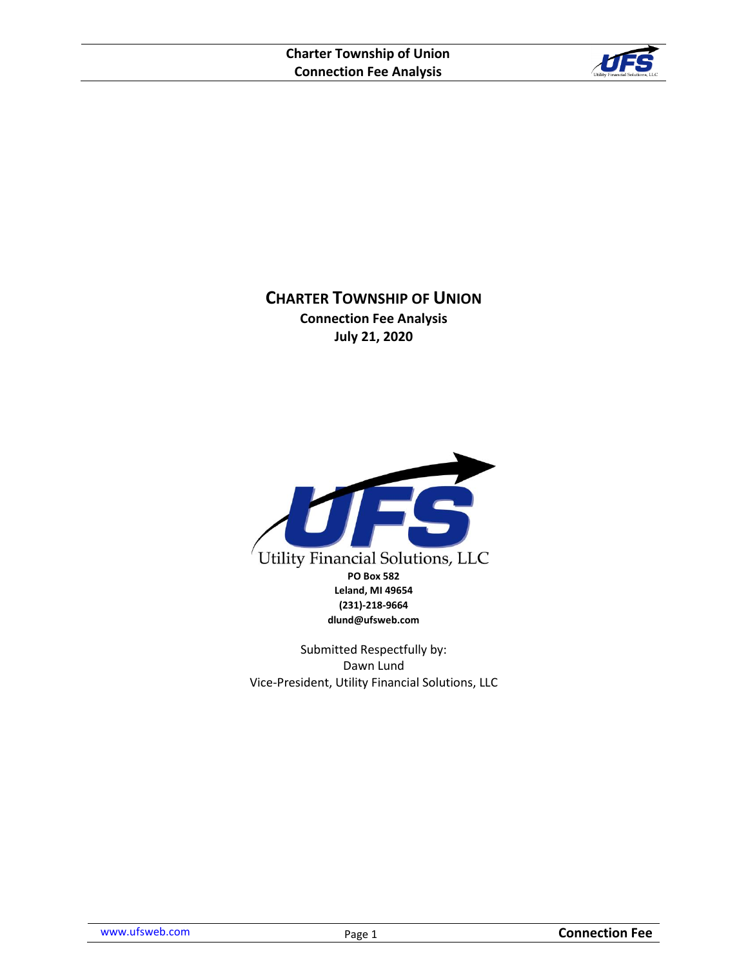

**CHARTER TOWNSHIP OF UNION Connection Fee Analysis July 21, 2020**



Submitted Respectfully by: Dawn Lund Vice-President, Utility Financial Solutions, LLC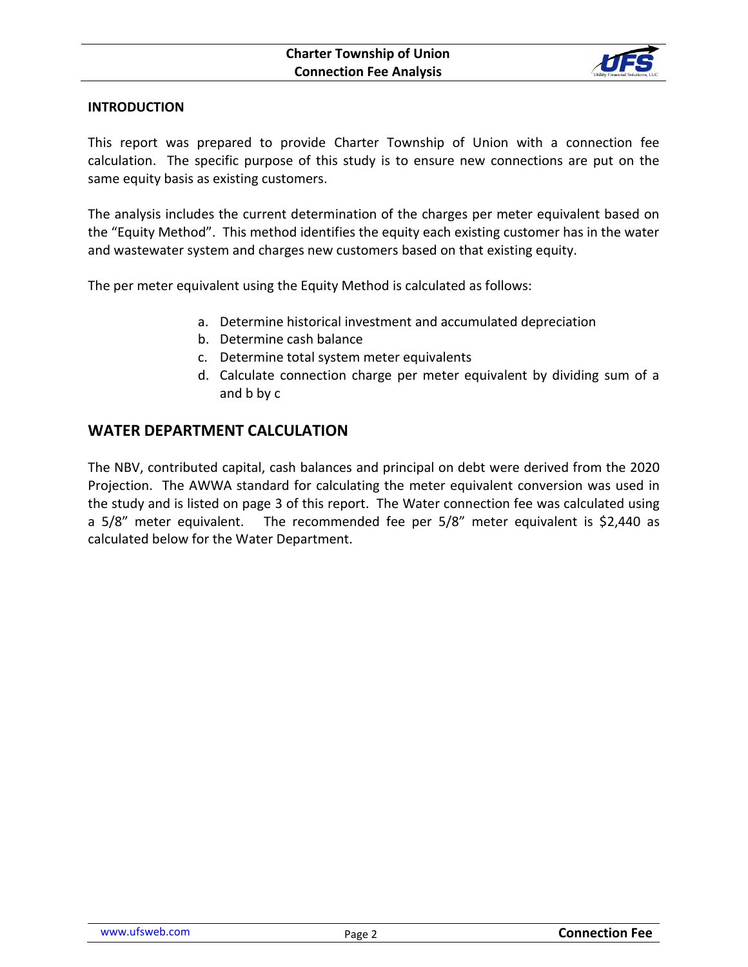

### **INTRODUCTION**

This report was prepared to provide Charter Township of Union with a connection fee calculation. The specific purpose of this study is to ensure new connections are put on the same equity basis as existing customers.

The analysis includes the current determination of the charges per meter equivalent based on the "Equity Method". This method identifies the equity each existing customer has in the water and wastewater system and charges new customers based on that existing equity.

The per meter equivalent using the Equity Method is calculated as follows:

- a. Determine historical investment and accumulated depreciation
- b. Determine cash balance
- c. Determine total system meter equivalents
- d. Calculate connection charge per meter equivalent by dividing sum of a and b by c

## **WATER DEPARTMENT CALCULATION**

The NBV, contributed capital, cash balances and principal on debt were derived from the 2020 Projection. The AWWA standard for calculating the meter equivalent conversion was used in the study and is listed on page 3 of this report. The Water connection fee was calculated using a 5/8" meter equivalent. The recommended fee per 5/8" meter equivalent is \$2,440 as calculated below for the Water Department.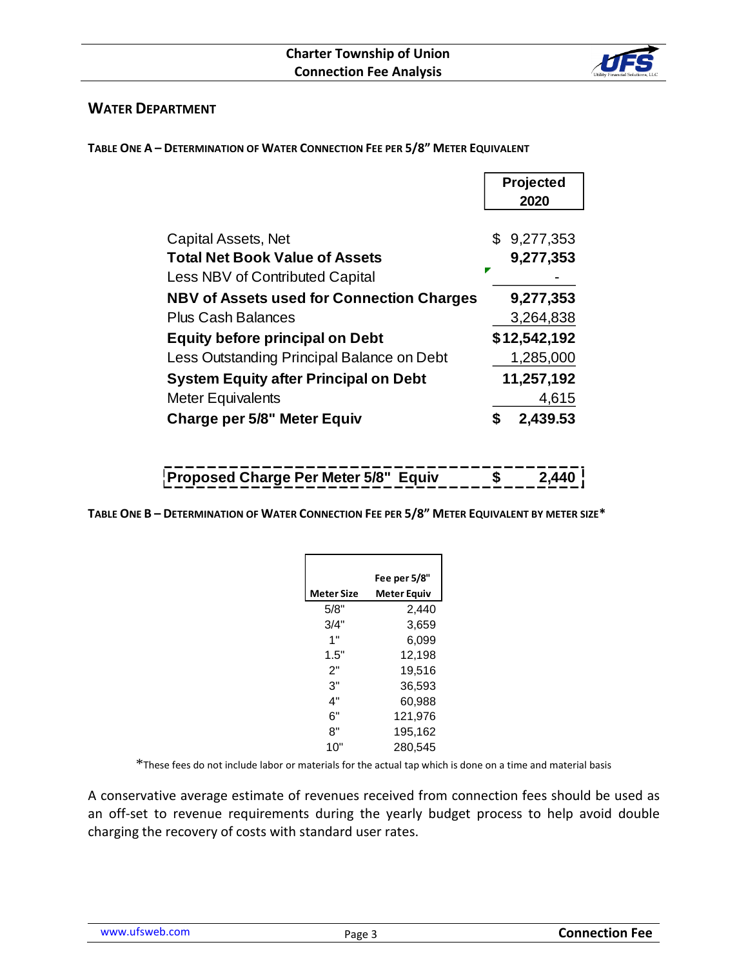

## **WATER DEPARTMENT**

**TABLE ONE A – DETERMINATION OF WATER CONNECTION FEE PER 5/8" METER EQUIVALENT**

|                                                                          | Projected<br>2020 |  |
|--------------------------------------------------------------------------|-------------------|--|
| <b>Capital Assets, Net</b>                                               | 9,277,353<br>\$   |  |
| <b>Total Net Book Value of Assets</b><br>Less NBV of Contributed Capital | 9,277,353<br>z    |  |
| <b>NBV of Assets used for Connection Charges</b>                         | 9,277,353         |  |
| <b>Plus Cash Balances</b>                                                | 3,264,838         |  |
| <b>Equity before principal on Debt</b>                                   | \$12,542,192      |  |
| Less Outstanding Principal Balance on Debt                               | 1,285,000         |  |
| <b>System Equity after Principal on Debt</b>                             | 11,257,192        |  |
| <b>Meter Equivalents</b>                                                 | 4,615             |  |
| <b>Charge per 5/8" Meter Equiv</b>                                       | 2,439.53<br>S     |  |

# **Proposed Charge Per Meter 5/8" Equiv \$ 2,440**

TABLE ONE B - DETERMINATION OF WATER CONNECTION FEE PER 5/8" METER EQUIVALENT BY METER SIZE\*

|            | Fee per 5/8" |
|------------|--------------|
| Meter Size | Meter Equiv  |
| 5/8"       | 2,440        |
| 3/4"       | 3,659        |
| 1"         | 6.099        |
| 1.5"       | 12,198       |
| 2"         | 19,516       |
| 3"         | 36,593       |
| 4"         | 60,988       |
| 6"         | 121,976      |
| 8"         | 195,162      |
| 10"        | 280,545      |

\*These fees do not include labor or materials for the actual tap which is done on a time and material basis

A conservative average estimate of revenues received from connection fees should be used as an off-set to revenue requirements during the yearly budget process to help avoid double charging the recovery of costs with standard user rates.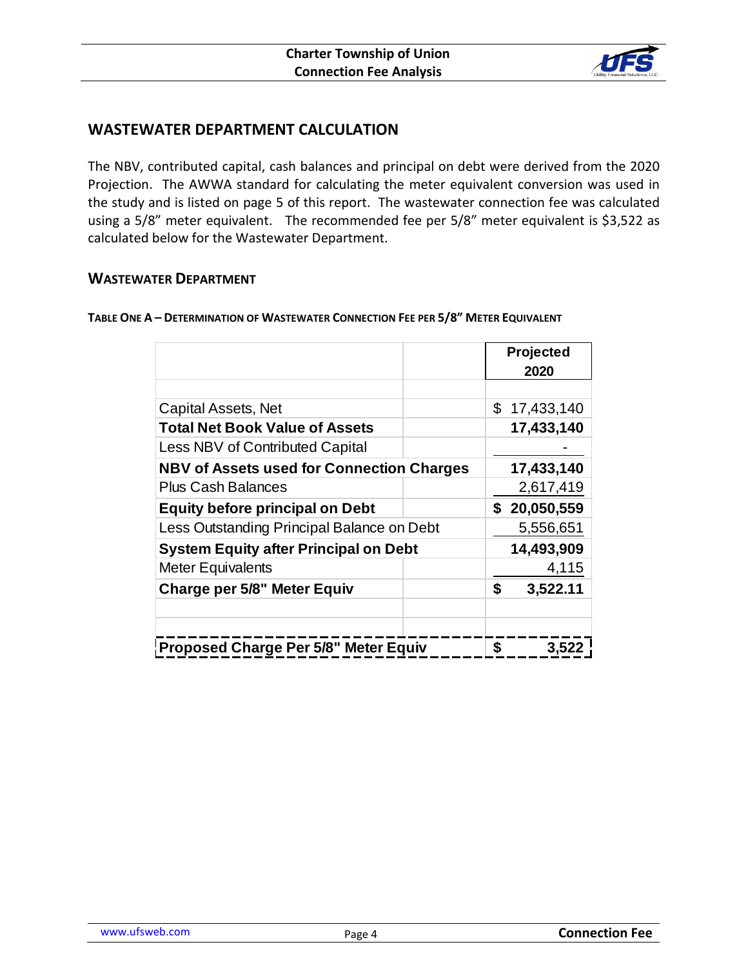

# **WASTEWATER DEPARTMENT CALCULATION**

The NBV, contributed capital, cash balances and principal on debt were derived from the 2020 Projection. The AWWA standard for calculating the meter equivalent conversion was used in the study and is listed on page 5 of this report. The wastewater connection fee was calculated using a 5/8" meter equivalent. The recommended fee per 5/8" meter equivalent is \$3,522 as calculated below for the Wastewater Department.

### **WASTEWATER DEPARTMENT**

**TABLE ONE A – DETERMINATION OF WASTEWATER CONNECTION FEE PER 5/8" METER EQUIVALENT**

|                                                  |  | Projected |              |
|--------------------------------------------------|--|-----------|--------------|
|                                                  |  |           | 2020         |
|                                                  |  |           |              |
| Capital Assets, Net                              |  | \$        | 17,433,140   |
| <b>Total Net Book Value of Assets</b>            |  |           | 17,433,140   |
| Less NBV of Contributed Capital                  |  |           |              |
| <b>NBV of Assets used for Connection Charges</b> |  |           | 17,433,140   |
| <b>Plus Cash Balances</b>                        |  |           | 2,617,419    |
| <b>Equity before principal on Debt</b>           |  |           | \$20,050,559 |
| Less Outstanding Principal Balance on Debt       |  |           | 5,556,651    |
| <b>System Equity after Principal on Debt</b>     |  |           | 14,493,909   |
| <b>Meter Equivalents</b>                         |  |           | 4,115        |
| <b>Charge per 5/8" Meter Equiv</b>               |  | \$        | 3,522.11     |
|                                                  |  |           |              |
|                                                  |  |           |              |
| Proposed Charge Per 5/8" Meter Equiv             |  | \$        | 3,522        |